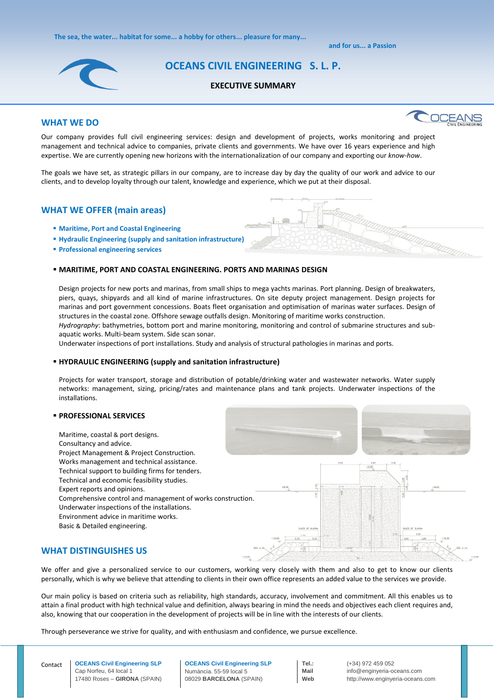**The sea, the water... habitat for some... a hobby for others... pleasure for many...**

 **and for us... a Passion**



# **OCEANS CIVIL ENGINEERING S. L. P.**

#### **EXECUTIVE SUMMARY**

## **WHAT WE DO**



Our company provides full civil engineering services: design and development of projects, works monitoring and project management and technical advice to companies, private clients and governments. We have over 16 years experience and high expertise. We are currently opening new horizons with the internationalization of our company and exporting our *know-how*.

The goals we have set, as strategic pillars in our company, are to increase day by day the quality of our work and advice to our clients, and to develop loyalty through our talent, knowledge and experience, which we put at their disposal.

## **WHAT WE OFFER (main areas)**

- **Maritime, Port and Coastal Engineering**
- **Hydraulic Engineering (supply and sanitation infrastructure)**
- **Professional engineering services**

#### **MARITIME, PORT AND COASTAL ENGINEERING. PORTS AND MARINAS DESIGN**

Design projects for new ports and marinas, from small ships to mega yachts marinas. Port planning. Design of breakwaters, piers, quays, shipyards and all kind of marine infrastructures. On site deputy project management. Design projects for marinas and port government concessions. Boats fleet organisation and optimisation of marinas water surfaces. Design of structures in the coastal zone. Offshore sewage outfalls design. Monitoring of maritime works construction. *Hydrography*: bathymetries, bottom port and marine monitoring, monitoring and control of submarine structures and subaquatic works. Multi-beam system. Side scan sonar.

Underwater inspections of port installations. Study and analysis of structural pathologies in marinas and ports.

#### **HYDRAULIC ENGINEERING (supply and sanitation infrastructure)**

Projects for water transport, storage and distribution of potable/drinking water and wastewater networks. Water supply networks: management, sizing, pricing/rates and maintenance plans and tank projects. Underwater inspections of the installations.

#### **PROFESSIONAL SERVICES**

Maritime, coastal & port designs. Consultancy and advice. Project Management & Project Construction. Works management and technical assistance. Technical support to building firms for tenders. Technical and economic feasibility studies. Expert reports and opinions. Comprehensive control and management of works construction. Underwater inspections of the installations. Environment advice in maritime works. Basic & Detailed engineering.





## **WHAT DISTINGUISHES US**

We offer and give a personalized service to our customers, working very closely with them and also to get to know our clients personally, which is why we believe that attending to clients in their own office represents an added value to the services we provide.

Our main policy is based on criteria such as reliability, high standards, accuracy, involvement and commitment. All this enables us to attain a final product with high technical value and definition, always bearing in mind the needs and objectives each client requires and, also, knowing that our cooperation in the development of projects will be in line with the interests of our clients.

Through perseverance we strive for quality, and with enthusiasm and confidence, we pursue excellence.

**OCEANS Civil Engineering SLP** Numància. 55-59 local 5 08029 **BARCELONA** (SPAIN)

**Tel.:** (+34) 972 459 052 **Mail** info@enginyeria-oceans.com **Web** http://www.enginyeria-oceans.com